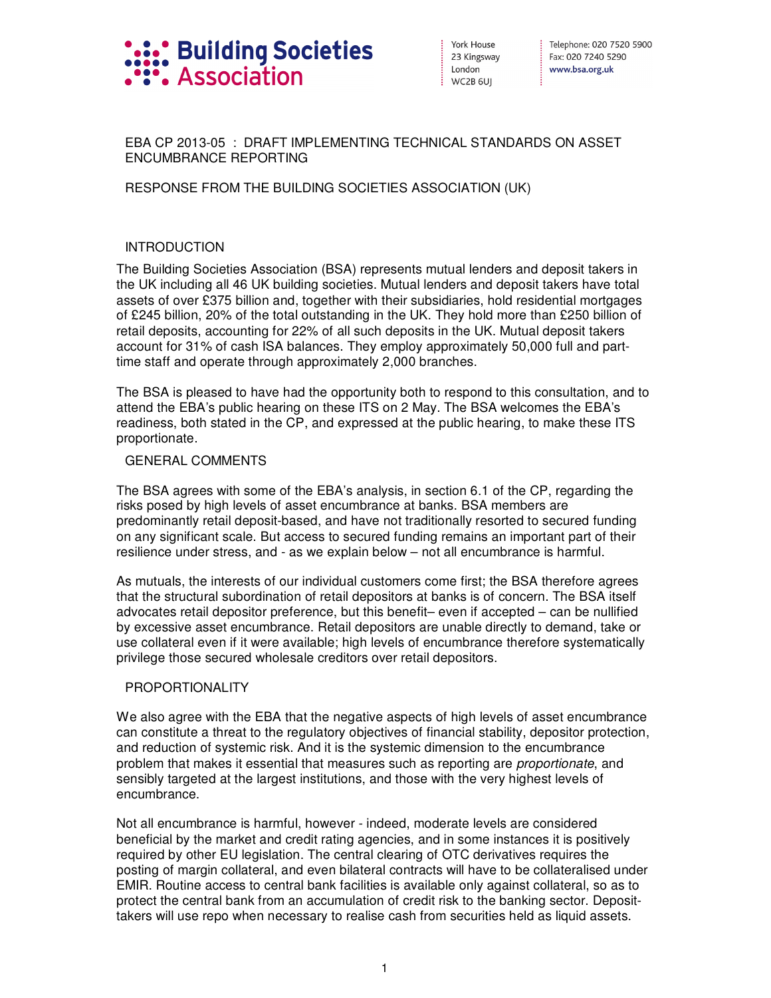

York House 23 Kingsway London WC2B 6UI

: Telephone: 020 7520 5900 Fax: 020 7240 5290 www.bsa.org.uk

## EBA CP 2013-05 : DRAFT IMPLEMENTING TECHNICAL STANDARDS ON ASSET ENCUMBRANCE REPORTING

## RESPONSE FROM THE BUILDING SOCIETIES ASSOCIATION (UK)

# **INTRODUCTION**

The Building Societies Association (BSA) represents mutual lenders and deposit takers in the UK including all 46 UK building societies. Mutual lenders and deposit takers have total assets of over £375 billion and, together with their subsidiaries, hold residential mortgages of £245 billion, 20% of the total outstanding in the UK. They hold more than £250 billion of retail deposits, accounting for 22% of all such deposits in the UK. Mutual deposit takers account for 31% of cash ISA balances. They employ approximately 50,000 full and parttime staff and operate through approximately 2,000 branches.

The BSA is pleased to have had the opportunity both to respond to this consultation, and to attend the EBA's public hearing on these ITS on 2 May. The BSA welcomes the EBA's readiness, both stated in the CP, and expressed at the public hearing, to make these ITS proportionate.

#### GENERAL COMMENTS

The BSA agrees with some of the EBA's analysis, in section 6.1 of the CP, regarding the risks posed by high levels of asset encumbrance at banks. BSA members are predominantly retail deposit-based, and have not traditionally resorted to secured funding on any significant scale. But access to secured funding remains an important part of their resilience under stress, and - as we explain below – not all encumbrance is harmful.

As mutuals, the interests of our individual customers come first; the BSA therefore agrees that the structural subordination of retail depositors at banks is of concern. The BSA itself advocates retail depositor preference, but this benefit– even if accepted – can be nullified by excessive asset encumbrance. Retail depositors are unable directly to demand, take or use collateral even if it were available; high levels of encumbrance therefore systematically privilege those secured wholesale creditors over retail depositors.

## PROPORTIONALITY

We also agree with the EBA that the negative aspects of high levels of asset encumbrance can constitute a threat to the regulatory objectives of financial stability, depositor protection, and reduction of systemic risk. And it is the systemic dimension to the encumbrance problem that makes it essential that measures such as reporting are proportionate, and sensibly targeted at the largest institutions, and those with the very highest levels of encumbrance.

Not all encumbrance is harmful, however - indeed, moderate levels are considered beneficial by the market and credit rating agencies, and in some instances it is positively required by other EU legislation. The central clearing of OTC derivatives requires the posting of margin collateral, and even bilateral contracts will have to be collateralised under EMIR. Routine access to central bank facilities is available only against collateral, so as to protect the central bank from an accumulation of credit risk to the banking sector. Deposittakers will use repo when necessary to realise cash from securities held as liquid assets.